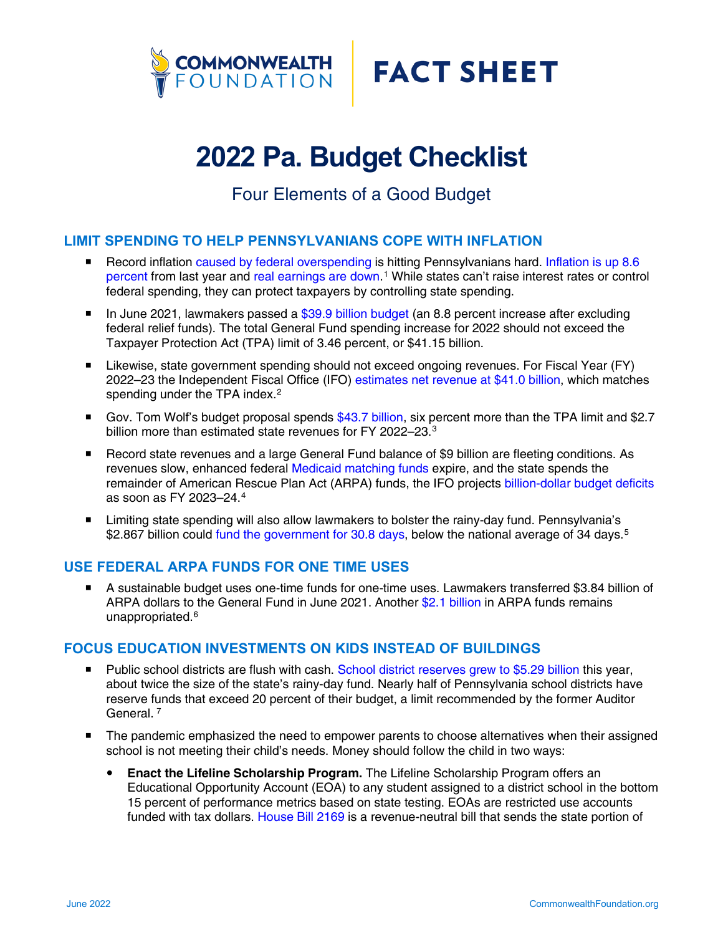



# **2022 Pa. Budget Checklist**

## Four Elements of a Good Budget

#### **LIMIT SPENDING TO HELP PENNSYLVANIANS COPE WITH INFLATION**

- Record inflation caused by federal overspending is hitting Pennsylvanians hard. Inflation is up 8.6 percent from last year and real earnings are down.<sup>1</sup> While states can't raise interest rates or control federal spending, they can protect taxpayers by controlling state spending.
- In June 2021, lawmakers passed a  $$39.9$  billion budget (an 8.8 percent increase after excluding federal relief funds). The total General Fund spending increase for 2022 should not exceed the Taxpayer Protection Act (TPA) limit of 3.46 percent, or \$41.15 billion.
- **E** Likewise, state government spending should not exceed ongoing revenues. For Fiscal Year (FY) 2022–23 the Independent Fiscal Office (IFO) estimates net revenue at \$41.0 billion, which matches spending under the TPA index.<sup>2</sup>
- Gov. Tom Wolf's budget proposal spends \$43.7 billion, six percent more than the TPA limit and \$2.7 billion more than estimated state revenues for FY 2022–23.<sup>3</sup>
- Record state revenues and a large General Fund balance of \$9 billion are fleeting conditions. As revenues slow, enhanced federal Medicaid matching funds expire, and the state spends the remainder of American Rescue Plan Act (ARPA) funds, the IFO projects billion-dollar budget deficits as soon as FY 2023–24. 4
- Limiting state spending will also allow lawmakers to bolster the rainy-day fund. Pennsylvania's \$2.867 billion could fund the government for 30.8 days, below the national average of 34 days.<sup>5</sup>

### **USE FEDERAL ARPA FUNDS FOR ONE TIME USES**

 A sustainable budget uses one-time funds for one-time uses. Lawmakers transferred \$3.84 billion of ARPA dollars to the General Fund in June 2021. Another \$2.1 billion in ARPA funds remains unappropriated.<sup>6</sup>

#### **FOCUS EDUCATION INVESTMENTS ON KIDS INSTEAD OF BUILDINGS**

- Public school districts are flush with cash. School district reserves grew to \$5.29 billion this year, about twice the size of the state's rainy-day fund. Nearly half of Pennsylvania school districts have reserve funds that exceed 20 percent of their budget, a limit recommended by the former Auditor General.<sup>7</sup>
- The pandemic emphasized the need to empower parents to choose alternatives when their assigned school is not meeting their child's needs. Money should follow the child in two ways:
	- **Enact the Lifeline Scholarship Program.** The Lifeline Scholarship Program offers an Educational Opportunity Account (EOA) to any student assigned to a district school in the bottom 15 percent of performance metrics based on state testing. EOAs are restricted use accounts funded with tax dollars. House Bill 2169 is a revenue-neutral bill that sends the state portion of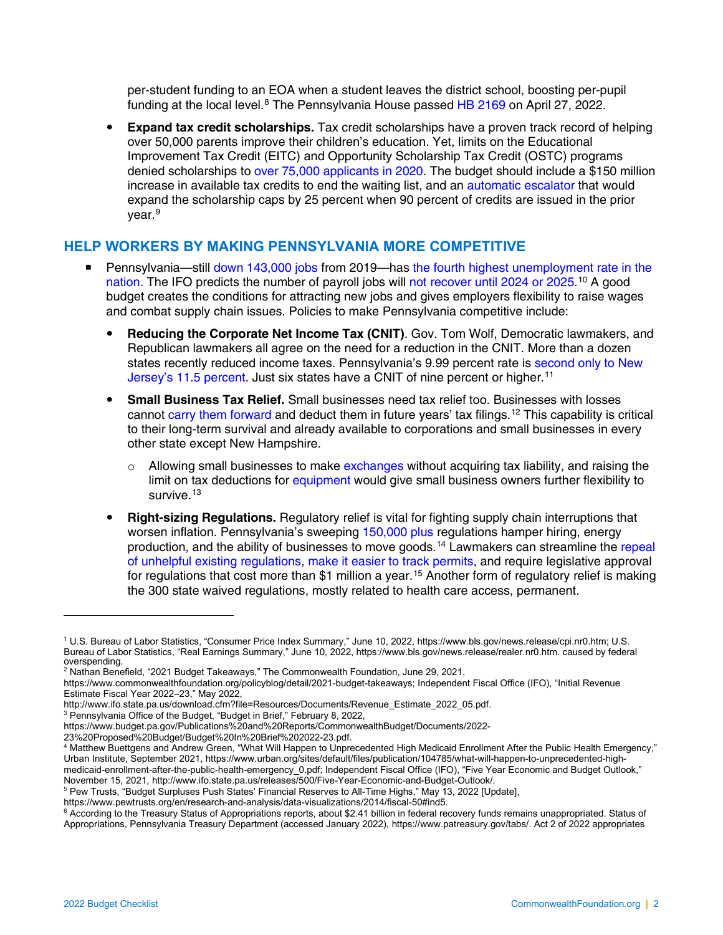per-student funding to an EOA when a student leaves the district school, boosting per-pupil funding at the local level.<sup>8</sup> The Pennsylvania House passed HB 2169 on April 27, 2022.

**Expand tax credit scholarships.** Tax credit scholarships have a proven track record of helping over 50,000 parents improve their children's education. Yet, limits on the Educational Improvement Tax Credit (EITC) and Opportunity Scholarship Tax Credit (OSTC) programs denied scholarships to over 75,000 applicants in 2020. The budget should include a \$150 million increase in available tax credits to end the waiting list, and an automatic escalator that would expand the scholarship caps by 25 percent when 90 percent of credits are issued in the prior vear.<sup>9</sup>

### **HELP WORKERS BY MAKING PENNSYLVANIA MORE COMPETITIVE**

- Pennsylvania—still down 143,000 jobs from 2019—has the fourth highest unemployment rate in the nation. The IFO predicts the number of payroll jobs will not recover until 2024 or 2025.<sup>10</sup> A good budget creates the conditions for attracting new jobs and gives employers flexibility to raise wages and combat supply chain issues. Policies to make Pennsylvania competitive include:
	- **Reducing the Corporate Net Income Tax (CNIT)**. Gov. Tom Wolf, Democratic lawmakers, and Republican lawmakers all agree on the need for a reduction in the CNIT. More than a dozen states recently reduced income taxes. Pennsylvania's 9.99 percent rate is second only to New Jersey's 11.5 percent. Just six states have a CNIT of nine percent or higher.<sup>11</sup>
	- y **Small Business Tax Relief.** Small businesses need tax relief too. Businesses with losses cannot carry them forward and deduct them in future years' tax filings.12 This capability is critical to their long-term survival and already available to corporations and small businesses in every other state except New Hampshire.
		- $\circ$  Allowing small businesses to make exchanges without acquiring tax liability, and raising the limit on tax deductions for equipment would give small business owners further flexibility to survive.<sup>13</sup>
	- **Right-sizing Regulations.** Regulatory relief is vital for fighting supply chain interruptions that worsen inflation. Pennsylvania's sweeping 150,000 plus regulations hamper hiring, energy production, and the ability of businesses to move goods.14 Lawmakers can streamline the repeal of unhelpful existing regulations, make it easier to track permits, and require legislative approval for regulations that cost more than \$1 million a year.<sup>15</sup> Another form of regulatory relief is making the 300 state waived regulations, mostly related to health care access, permanent.

<sup>1</sup> U.S. Bureau of Labor Statistics, "Consumer Price Index Summary," June 10, 2022, https://www.bls.gov/news.release/cpi.nr0.htm; U.S. Bureau of Labor Statistics, "Real Earnings Summary," June 10, 2022, https://www.bls.gov/news.release/realer.nr0.htm. caused by federal overspending.

<sup>2</sup> Nathan Benefield, "2021 Budget Takeaways," The Commonwealth Foundation, June 29, 2021,

https://www.commonwealthfoundation.org/policyblog/detail/2021-budget-takeaways; Independent Fiscal Office (IFO), "Initial Revenue Estimate Fiscal Year 2022–23," May 2022,

http://www.ifo.state.pa.us/download.cfm?file=Resources/Documents/Revenue\_Estimate\_2022\_05.pdf.

<sup>&</sup>lt;sup>3</sup> Pennsylvania Office of the Budget, "Budget in Brief," February 8, 2022,

https://www.budget.pa.gov/Publications%20and%20Reports/CommonwealthBudget/Documents/2022-

<sup>&</sup>lt;sup>4</sup> Matthew Buettgens and Andrew Green, "What Will Happen to Unprecedented High Medicaid Enrollment After the Public Health Emergency," Urban Institute, September 2021, https://www.urban.org/sites/default/files/publication/104785/what-will-happen-to-unprecedented-highmedicaid-enrollment-after-the-public-health-emergency 0.pdf; Independent Fiscal Office (IFO), "Five Year Economic and Budget Outlook," November 15, 2021, http://www.ifo.state.pa.us/releases/500/Five-Year-Economic-and-Budget-Outlook/.

<sup>5</sup> Pew Trusts, "Budget Surpluses Push States' Financial Reserves to All-Time Highs," May 13, 2022 [Update],

https://www.pewtrusts.org/en/research-and-analysis/data-visualizations/2014/fiscal-50#ind5.<br><sup>6</sup> According to the Treasury Status of Appropriations reports, about \$2.41 billion in federal recovery funds remains unappropriat Appropriations, Pennsylvania Treasury Department (accessed January 2022), https://www.patreasury.gov/tabs/. Act 2 of 2022 appropriates